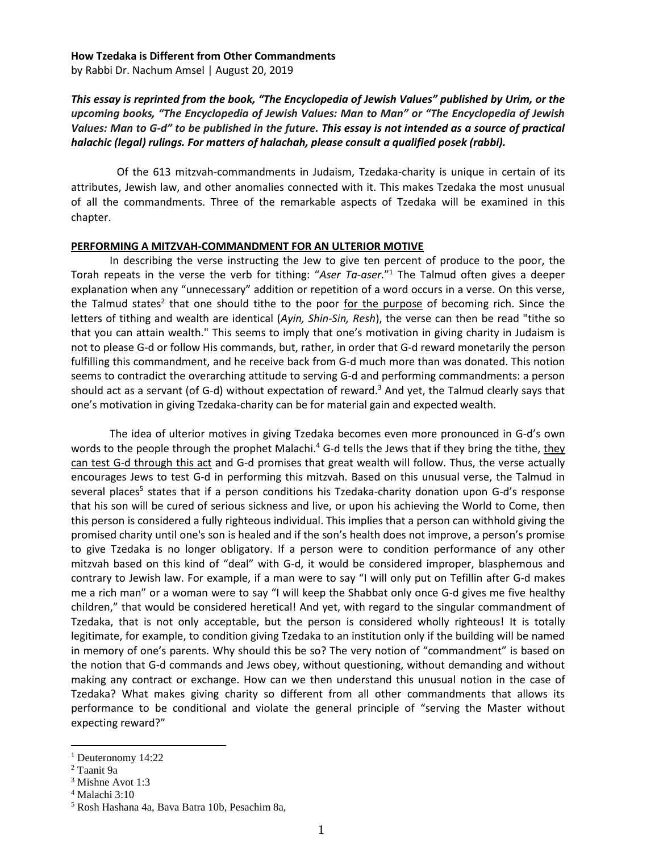### **How Tzedaka is Different from Other Commandments**

by [Rabbi Dr. Nachum Amsel](http://nleresources.com/author/rabbidrnachumamsel/) | August 20, 2019

# *This essay is reprinted from the book, "The Encyclopedia of Jewish Values" published by Urim, or the upcoming books, "The Encyclopedia of Jewish Values: Man to Man" or "The Encyclopedia of Jewish Values: Man to G-d" to be published in the future. This essay is not intended as a source of practical halachic (legal) rulings. For matters of halachah, please consult a qualified posek (rabbi).*

Of the 613 mitzvah-commandments in Judaism, Tzedaka-charity is unique in certain of its attributes, Jewish law, and other anomalies connected with it. This makes Tzedaka the most unusual of all the commandments. Three of the remarkable aspects of Tzedaka will be examined in this chapter.

### **PERFORMING A MITZVAH-COMMANDMENT FOR AN ULTERIOR MOTIVE**

In describing the verse instructing the Jew to give ten percent of produce to the poor, the Torah repeats in the verse the verb for tithing: "*Aser Ta-aser.*" <sup>1</sup> The Talmud often gives a deeper explanation when any "unnecessary" addition or repetition of a word occurs in a verse. On this verse, the Talmud states<sup>2</sup> that one should tithe to the poor for the purpose of becoming rich. Since the letters of tithing and wealth are identical (*Ayin, Shin-Sin, Resh*), the verse can then be read "tithe so that you can attain wealth." This seems to imply that one's motivation in giving charity in Judaism is not to please G-d or follow His commands, but, rather, in order that G-d reward monetarily the person fulfilling this commandment, and he receive back from G-d much more than was donated. This notion seems to contradict the overarching attitude to serving G-d and performing commandments: a person should act as a servant (of G-d) without expectation of reward. <sup>3</sup> And yet, the Talmud clearly says that one's motivation in giving Tzedaka-charity can be for material gain and expected wealth.

The idea of ulterior motives in giving Tzedaka becomes even more pronounced in G-d's own words to the people through the prophet Malachi.<sup>4</sup> G-d tells the Jews that if they bring the tithe, <u>they</u> can test G-d through this act and G-d promises that great wealth will follow. Thus, the verse actually encourages Jews to test G-d in performing this mitzvah. Based on this unusual verse, the Talmud in several places<sup>5</sup> states that if a person conditions his Tzedaka-charity donation upon G-d's response that his son will be cured of serious sickness and live, or upon his achieving the World to Come, then this person is considered a fully righteous individual. This implies that a person can withhold giving the promised charity until one's son is healed and if the son's health does not improve, a person's promise to give Tzedaka is no longer obligatory. If a person were to condition performance of any other mitzvah based on this kind of "deal" with G-d, it would be considered improper, blasphemous and contrary to Jewish law. For example, if a man were to say "I will only put on Tefillin after G-d makes me a rich man" or a woman were to say "I will keep the Shabbat only once G-d gives me five healthy children," that would be considered heretical! And yet, with regard to the singular commandment of Tzedaka, that is not only acceptable, but the person is considered wholly righteous! It is totally legitimate, for example, to condition giving Tzedaka to an institution only if the building will be named in memory of one's parents. Why should this be so? The very notion of "commandment" is based on the notion that G-d commands and Jews obey, without questioning, without demanding and without making any contract or exchange. How can we then understand this unusual notion in the case of Tzedaka? What makes giving charity so different from all other commandments that allows its performance to be conditional and violate the general principle of "serving the Master without expecting reward?"

<sup>&</sup>lt;sup>1</sup> Deuteronomy 14:22

<sup>2</sup> Taanit 9a

<sup>3</sup> Mishne Avot 1:3

<sup>4</sup> Malachi 3:10

<sup>5</sup> Rosh Hashana 4a, Bava Batra 10b, Pesachim 8a,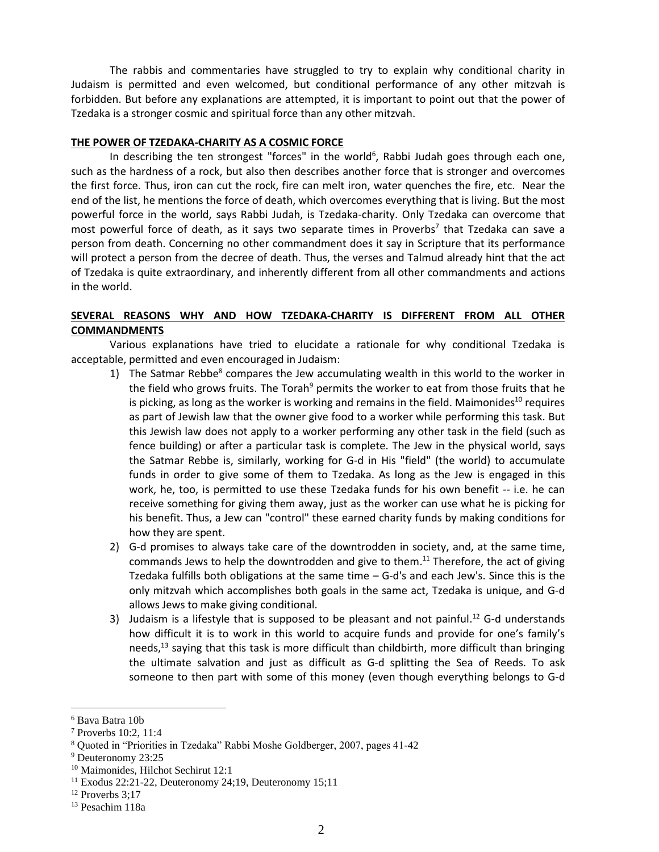The rabbis and commentaries have struggled to try to explain why conditional charity in Judaism is permitted and even welcomed, but conditional performance of any other mitzvah is forbidden. But before any explanations are attempted, it is important to point out that the power of Tzedaka is a stronger cosmic and spiritual force than any other mitzvah.

## **THE POWER OF TZEDAKA-CHARITY AS A COSMIC FORCE**

In describing the ten strongest "forces" in the world<sup>6</sup>, Rabbi Judah goes through each one, such as the hardness of a rock, but also then describes another force that is stronger and overcomes the first force. Thus, iron can cut the rock, fire can melt iron, water quenches the fire, etc. Near the end of the list, he mentions the force of death, which overcomes everything that is living. But the most powerful force in the world, says Rabbi Judah, is Tzedaka-charity. Only Tzedaka can overcome that most powerful force of death, as it says two separate times in Proverbs<sup>7</sup> that Tzedaka can save a person from death. Concerning no other commandment does it say in Scripture that its performance will protect a person from the decree of death. Thus, the verses and Talmud already hint that the act of Tzedaka is quite extraordinary, and inherently different from all other commandments and actions in the world.

# **SEVERAL REASONS WHY AND HOW TZEDAKA-CHARITY IS DIFFERENT FROM ALL OTHER COMMANDMENTS**

Various explanations have tried to elucidate a rationale for why conditional Tzedaka is acceptable, permitted and even encouraged in Judaism:

- 1) The Satmar Rebbe<sup>8</sup> compares the Jew accumulating wealth in this world to the worker in the field who grows fruits. The Torah $9$  permits the worker to eat from those fruits that he is picking, as long as the worker is working and remains in the field. Maimonides<sup>10</sup> requires as part of Jewish law that the owner give food to a worker while performing this task. But this Jewish law does not apply to a worker performing any other task in the field (such as fence building) or after a particular task is complete. The Jew in the physical world, says the Satmar Rebbe is, similarly, working for G-d in His "field" (the world) to accumulate funds in order to give some of them to Tzedaka. As long as the Jew is engaged in this work, he, too, is permitted to use these Tzedaka funds for his own benefit -- i.e. he can receive something for giving them away, just as the worker can use what he is picking for his benefit. Thus, a Jew can "control" these earned charity funds by making conditions for how they are spent.
- 2) G-d promises to always take care of the downtrodden in society, and, at the same time, commands Jews to help the downtrodden and give to them.<sup>11</sup> Therefore, the act of giving Tzedaka fulfills both obligations at the same time – G-d's and each Jew's. Since this is the only mitzvah which accomplishes both goals in the same act, Tzedaka is unique, and G-d allows Jews to make giving conditional.
- 3) Judaism is a lifestyle that is supposed to be pleasant and not painful.<sup>12</sup> G-d understands how difficult it is to work in this world to acquire funds and provide for one's family's needs,<sup>13</sup> saying that this task is more difficult than childbirth, more difficult than bringing the ultimate salvation and just as difficult as G-d splitting the Sea of Reeds. To ask someone to then part with some of this money (even though everything belongs to G-d

<sup>6</sup> Bava Batra 10b

<sup>7</sup> Proverbs 10:2, 11:4

<sup>8</sup> Quoted in "Priorities in Tzedaka" Rabbi Moshe Goldberger, 2007, pages 41-42

<sup>9</sup> Deuteronomy 23:25

<sup>10</sup> Maimonides, Hilchot Sechirut 12:1

 $11$  Exodus 22:21-22, Deuteronomy 24;19, Deuteronomy 15;11

<sup>12</sup> Proverbs 3;17

<sup>13</sup> Pesachim 118a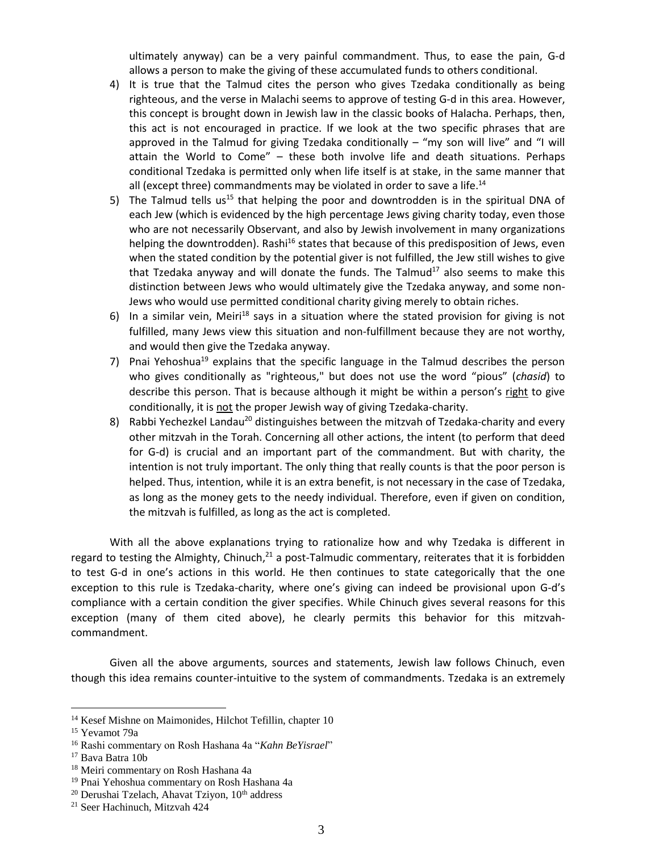ultimately anyway) can be a very painful commandment. Thus, to ease the pain, G-d allows a person to make the giving of these accumulated funds to others conditional.

- 4) It is true that the Talmud cites the person who gives Tzedaka conditionally as being righteous, and the verse in Malachi seems to approve of testing G-d in this area. However, this concept is brought down in Jewish law in the classic books of Halacha. Perhaps, then, this act is not encouraged in practice. If we look at the two specific phrases that are approved in the Talmud for giving Tzedaka conditionally – "my son will live" and "I will attain the World to Come" – these both involve life and death situations. Perhaps conditional Tzedaka is permitted only when life itself is at stake, in the same manner that all (except three) commandments may be violated in order to save a life.<sup>14</sup>
- 5) The Talmud tells us<sup>15</sup> that helping the poor and downtrodden is in the spiritual DNA of each Jew (which is evidenced by the high percentage Jews giving charity today, even those who are not necessarily Observant, and also by Jewish involvement in many organizations helping the downtrodden). Rashi<sup>16</sup> states that because of this predisposition of Jews, even when the stated condition by the potential giver is not fulfilled, the Jew still wishes to give that Tzedaka anyway and will donate the funds. The Talmud $17$  also seems to make this distinction between Jews who would ultimately give the Tzedaka anyway, and some non-Jews who would use permitted conditional charity giving merely to obtain riches.
- 6) In a similar vein, Meiri<sup>18</sup> says in a situation where the stated provision for giving is not fulfilled, many Jews view this situation and non-fulfillment because they are not worthy, and would then give the Tzedaka anyway.
- 7) Pnai Yehoshua<sup>19</sup> explains that the specific language in the Talmud describes the person who gives conditionally as "righteous," but does not use the word "pious" (*chasid*) to describe this person. That is because although it might be within a person's right to give conditionally, it is not the proper Jewish way of giving Tzedaka-charity.
- 8) Rabbi Yechezkel Landau<sup>20</sup> distinguishes between the mitzvah of Tzedaka-charity and every other mitzvah in the Torah. Concerning all other actions, the intent (to perform that deed for G-d) is crucial and an important part of the commandment. But with charity, the intention is not truly important. The only thing that really counts is that the poor person is helped. Thus, intention, while it is an extra benefit, is not necessary in the case of Tzedaka, as long as the money gets to the needy individual. Therefore, even if given on condition, the mitzvah is fulfilled, as long as the act is completed.

With all the above explanations trying to rationalize how and why Tzedaka is different in regard to testing the Almighty, Chinuch,<sup>21</sup> a post-Talmudic commentary, reiterates that it is forbidden to test G-d in one's actions in this world. He then continues to state categorically that the one exception to this rule is Tzedaka-charity, where one's giving can indeed be provisional upon G-d's compliance with a certain condition the giver specifies. While Chinuch gives several reasons for this exception (many of them cited above), he clearly permits this behavior for this mitzvahcommandment.

Given all the above arguments, sources and statements, Jewish law follows Chinuch, even though this idea remains counter-intuitive to the system of commandments. Tzedaka is an extremely

<sup>&</sup>lt;sup>14</sup> Kesef Mishne on Maimonides, Hilchot Tefillin, chapter 10

<sup>15</sup> Yevamot 79a

<sup>16</sup> Rashi commentary on Rosh Hashana 4a "*Kahn BeYisrael*"

<sup>17</sup> Bava Batra 10b

<sup>18</sup> Meiri commentary on Rosh Hashana 4a

<sup>19</sup> Pnai Yehoshua commentary on Rosh Hashana 4a

 $20$  Derushai Tzelach, Ahavat Tziyon,  $10<sup>th</sup>$  address

<sup>21</sup> Seer Hachinuch, Mitzvah 424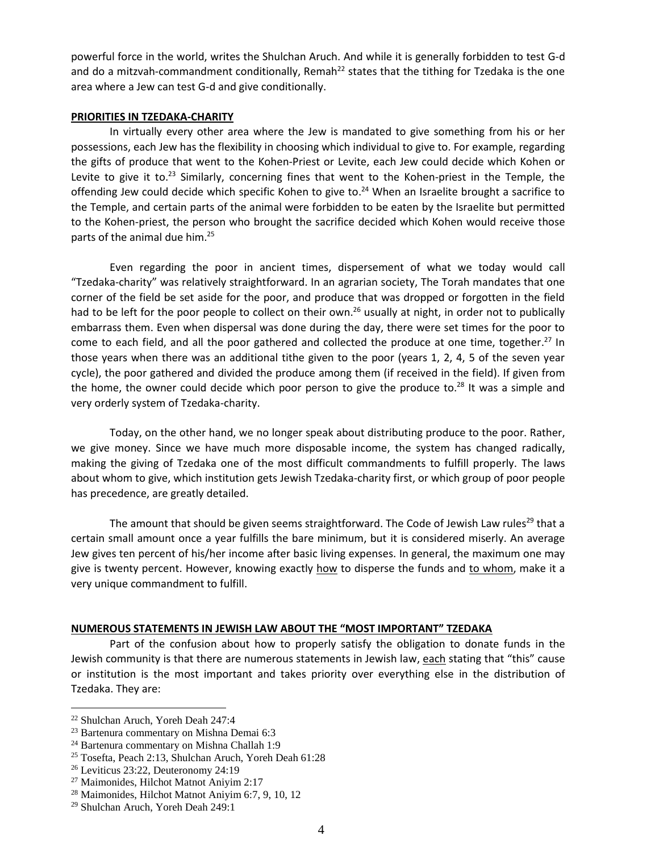powerful force in the world, writes the Shulchan Aruch. And while it is generally forbidden to test G-d and do a mitzvah-commandment conditionally, Remah<sup>22</sup> states that the tithing for Tzedaka is the one area where a Jew can test G-d and give conditionally.

## **PRIORITIES IN TZEDAKA-CHARITY**

In virtually every other area where the Jew is mandated to give something from his or her possessions, each Jew has the flexibility in choosing which individual to give to. For example, regarding the gifts of produce that went to the Kohen-Priest or Levite, each Jew could decide which Kohen or Levite to give it to.<sup>23</sup> Similarly, concerning fines that went to the Kohen-priest in the Temple, the offending Jew could decide which specific Kohen to give to.<sup>24</sup> When an Israelite brought a sacrifice to the Temple, and certain parts of the animal were forbidden to be eaten by the Israelite but permitted to the Kohen-priest, the person who brought the sacrifice decided which Kohen would receive those parts of the animal due him. 25

Even regarding the poor in ancient times, dispersement of what we today would call "Tzedaka-charity" was relatively straightforward. In an agrarian society, The Torah mandates that one corner of the field be set aside for the poor, and produce that was dropped or forgotten in the field had to be left for the poor people to collect on their own.<sup>26</sup> usually at night, in order not to publically embarrass them. Even when dispersal was done during the day, there were set times for the poor to come to each field, and all the poor gathered and collected the produce at one time, together.<sup>27</sup> In those years when there was an additional tithe given to the poor (years 1, 2, 4, 5 of the seven year cycle), the poor gathered and divided the produce among them (if received in the field). If given from the home, the owner could decide which poor person to give the produce to. $^{28}$  It was a simple and very orderly system of Tzedaka-charity.

Today, on the other hand, we no longer speak about distributing produce to the poor. Rather, we give money. Since we have much more disposable income, the system has changed radically, making the giving of Tzedaka one of the most difficult commandments to fulfill properly. The laws about whom to give, which institution gets Jewish Tzedaka-charity first, or which group of poor people has precedence, are greatly detailed.

The amount that should be given seems straightforward. The Code of Jewish Law rules<sup>29</sup> that a certain small amount once a year fulfills the bare minimum, but it is considered miserly. An average Jew gives ten percent of his/her income after basic living expenses. In general, the maximum one may give is twenty percent. However, knowing exactly how to disperse the funds and to whom, make it a very unique commandment to fulfill.

## **NUMEROUS STATEMENTS IN JEWISH LAW ABOUT THE "MOST IMPORTANT" TZEDAKA**

Part of the confusion about how to properly satisfy the obligation to donate funds in the Jewish community is that there are numerous statements in Jewish law, each stating that "this" cause or institution is the most important and takes priority over everything else in the distribution of Tzedaka. They are:

<sup>22</sup> Shulchan Aruch, Yoreh Deah 247:4

<sup>23</sup> Bartenura commentary on Mishna Demai 6:3

<sup>24</sup> Bartenura commentary on Mishna Challah 1:9

<sup>25</sup> Tosefta, Peach 2:13, Shulchan Aruch, Yoreh Deah 61:28

<sup>26</sup> Leviticus 23:22, Deuteronomy 24:19

<sup>27</sup> Maimonides, Hilchot Matnot Aniyim 2:17

<sup>28</sup> Maimonides, Hilchot Matnot Aniyim 6:7, 9, 10, 12

<sup>29</sup> Shulchan Aruch, Yoreh Deah 249:1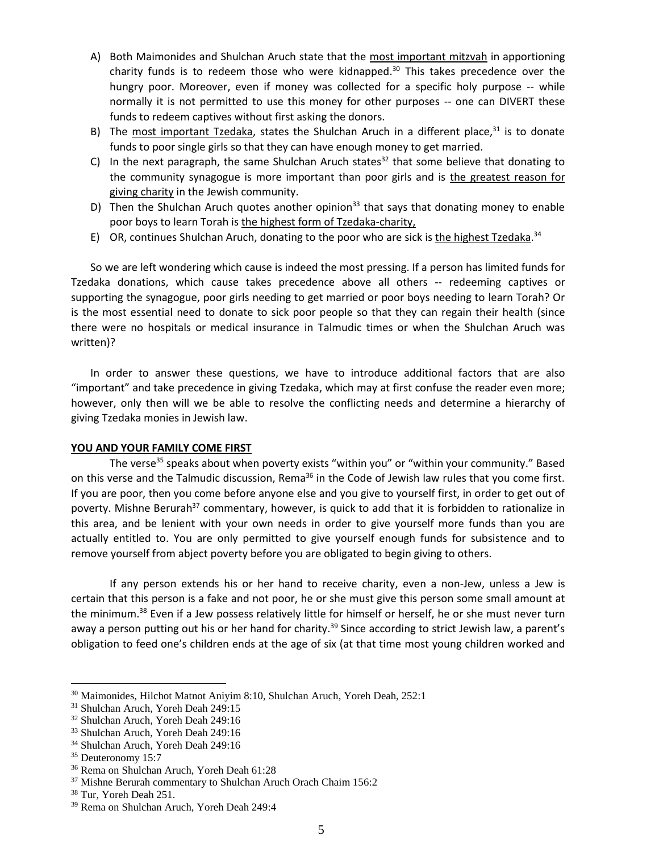- A) Both Maimonides and Shulchan Aruch state that the most important mitzvah in apportioning charity funds is to redeem those who were kidnapped.<sup>30</sup> This takes precedence over the hungry poor. Moreover, even if money was collected for a specific holy purpose -- while normally it is not permitted to use this money for other purposes -- one can DIVERT these funds to redeem captives without first asking the donors.
- B) The most important Tzedaka, states the Shulchan Aruch in a different place,<sup>31</sup> is to donate funds to poor single girls so that they can have enough money to get married.
- C) In the next paragraph, the same Shulchan Aruch states<sup>32</sup> that some believe that donating to the community synagogue is more important than poor girls and is the greatest reason for giving charity in the Jewish community.
- D) Then the Shulchan Aruch quotes another opinion<sup>33</sup> that says that donating money to enable poor boys to learn Torah is the highest form of Tzedaka-charity,
- E) OR, continues Shulchan Aruch, donating to the poor who are sick is the highest Tzedaka.<sup>34</sup>

So we are left wondering which cause is indeed the most pressing. If a person has limited funds for Tzedaka donations, which cause takes precedence above all others -- redeeming captives or supporting the synagogue, poor girls needing to get married or poor boys needing to learn Torah? Or is the most essential need to donate to sick poor people so that they can regain their health (since there were no hospitals or medical insurance in Talmudic times or when the Shulchan Aruch was written)?

In order to answer these questions, we have to introduce additional factors that are also "important" and take precedence in giving Tzedaka, which may at first confuse the reader even more; however, only then will we be able to resolve the conflicting needs and determine a hierarchy of giving Tzedaka monies in Jewish law.

## **YOU AND YOUR FAMILY COME FIRST**

The verse<sup>35</sup> speaks about when poverty exists "within you" or "within your community." Based on this verse and the Talmudic discussion, Rema<sup>36</sup> in the Code of Jewish law rules that you come first. If you are poor, then you come before anyone else and you give to yourself first, in order to get out of poverty. Mishne Berurah<sup>37</sup> commentary, however, is quick to add that it is forbidden to rationalize in this area, and be lenient with your own needs in order to give yourself more funds than you are actually entitled to. You are only permitted to give yourself enough funds for subsistence and to remove yourself from abject poverty before you are obligated to begin giving to others.

If any person extends his or her hand to receive charity, even a non-Jew, unless a Jew is certain that this person is a fake and not poor, he or she must give this person some small amount at the minimum.<sup>38</sup> Even if a Jew possess relatively little for himself or herself, he or she must never turn away a person putting out his or her hand for charity.<sup>39</sup> Since according to strict Jewish law, a parent's obligation to feed one's children ends at the age of six (at that time most young children worked and

<sup>30</sup> Maimonides, Hilchot Matnot Aniyim 8:10, Shulchan Aruch, Yoreh Deah, 252:1

<sup>31</sup> Shulchan Aruch, Yoreh Deah 249:15

<sup>32</sup> Shulchan Aruch, Yoreh Deah 249:16

<sup>33</sup> Shulchan Aruch, Yoreh Deah 249:16

<sup>34</sup> Shulchan Aruch, Yoreh Deah 249:16

<sup>&</sup>lt;sup>35</sup> Deuteronomy 15:7

<sup>36</sup> Rema on Shulchan Aruch, Yoreh Deah 61:28

<sup>&</sup>lt;sup>37</sup> Mishne Berurah commentary to Shulchan Aruch Orach Chaim 156:2

<sup>38</sup> Tur, Yoreh Deah 251.

<sup>39</sup> Rema on Shulchan Aruch, Yoreh Deah 249:4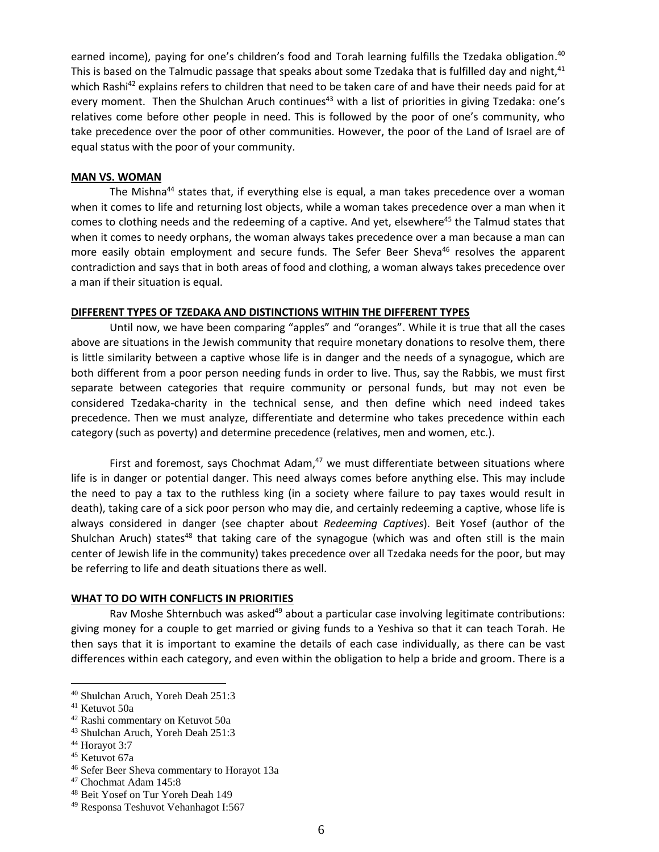earned income), paying for one's children's food and Torah learning fulfills the Tzedaka obligation.<sup>40</sup> This is based on the Talmudic passage that speaks about some Tzedaka that is fulfilled day and night,<sup>41</sup> which Rashi<sup>42</sup> explains refers to children that need to be taken care of and have their needs paid for at every moment. Then the Shulchan Aruch continues<sup>43</sup> with a list of priorities in giving Tzedaka: one's relatives come before other people in need. This is followed by the poor of one's community, who take precedence over the poor of other communities. However, the poor of the Land of Israel are of equal status with the poor of your community.

# **MAN VS. WOMAN**

The Mishna<sup>44</sup> states that, if everything else is equal, a man takes precedence over a woman when it comes to life and returning lost objects, while a woman takes precedence over a man when it comes to clothing needs and the redeeming of a captive. And yet, elsewhere<sup>45</sup> the Talmud states that when it comes to needy orphans, the woman always takes precedence over a man because a man can more easily obtain employment and secure funds. The Sefer Beer Sheva<sup>46</sup> resolves the apparent contradiction and says that in both areas of food and clothing, a woman always takes precedence over a man if their situation is equal.

#### **DIFFERENT TYPES OF TZEDAKA AND DISTINCTIONS WITHIN THE DIFFERENT TYPES**

Until now, we have been comparing "apples" and "oranges". While it is true that all the cases above are situations in the Jewish community that require monetary donations to resolve them, there is little similarity between a captive whose life is in danger and the needs of a synagogue, which are both different from a poor person needing funds in order to live. Thus, say the Rabbis, we must first separate between categories that require community or personal funds, but may not even be considered Tzedaka-charity in the technical sense, and then define which need indeed takes precedence. Then we must analyze, differentiate and determine who takes precedence within each category (such as poverty) and determine precedence (relatives, men and women, etc.).

First and foremost, says Chochmat Adam, $47$  we must differentiate between situations where life is in danger or potential danger. This need always comes before anything else. This may include the need to pay a tax to the ruthless king (in a society where failure to pay taxes would result in death), taking care of a sick poor person who may die, and certainly redeeming a captive, whose life is always considered in danger (see chapter about *Redeeming Captives*). Beit Yosef (author of the Shulchan Aruch) states<sup>48</sup> that taking care of the synagogue (which was and often still is the main center of Jewish life in the community) takes precedence over all Tzedaka needs for the poor, but may be referring to life and death situations there as well.

### **WHAT TO DO WITH CONFLICTS IN PRIORITIES**

Rav Moshe Shternbuch was asked<sup>49</sup> about a particular case involving legitimate contributions: giving money for a couple to get married or giving funds to a Yeshiva so that it can teach Torah. He then says that it is important to examine the details of each case individually, as there can be vast differences within each category, and even within the obligation to help a bride and groom. There is a

<sup>40</sup> Shulchan Aruch, Yoreh Deah 251:3

<sup>41</sup> Ketuvot 50a

<sup>42</sup> Rashi commentary on Ketuvot 50a

<sup>43</sup> Shulchan Aruch, Yoreh Deah 251:3

<sup>44</sup> Horayot 3:7

<sup>45</sup> Ketuvot 67a

<sup>46</sup> Sefer Beer Sheva commentary to Horayot 13a

<sup>47</sup> Chochmat Adam 145:8

<sup>48</sup> Beit Yosef on Tur Yoreh Deah 149

<sup>49</sup> Responsa Teshuvot Vehanhagot I:567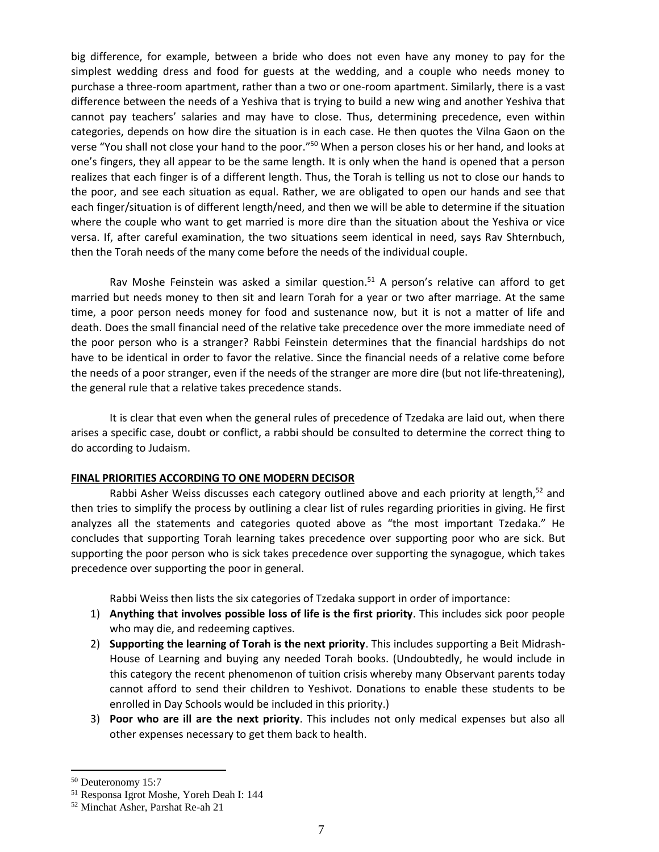big difference, for example, between a bride who does not even have any money to pay for the simplest wedding dress and food for guests at the wedding, and a couple who needs money to purchase a three-room apartment, rather than a two or one-room apartment. Similarly, there is a vast difference between the needs of a Yeshiva that is trying to build a new wing and another Yeshiva that cannot pay teachers' salaries and may have to close. Thus, determining precedence, even within categories, depends on how dire the situation is in each case. He then quotes the Vilna Gaon on the verse "You shall not close your hand to the poor."<sup>50</sup> When a person closes his or her hand, and looks at one's fingers, they all appear to be the same length. It is only when the hand is opened that a person realizes that each finger is of a different length. Thus, the Torah is telling us not to close our hands to the poor, and see each situation as equal. Rather, we are obligated to open our hands and see that each finger/situation is of different length/need, and then we will be able to determine if the situation where the couple who want to get married is more dire than the situation about the Yeshiva or vice versa. If, after careful examination, the two situations seem identical in need, says Rav Shternbuch, then the Torah needs of the many come before the needs of the individual couple.

Rav Moshe Feinstein was asked a similar question.<sup>51</sup> A person's relative can afford to get married but needs money to then sit and learn Torah for a year or two after marriage. At the same time, a poor person needs money for food and sustenance now, but it is not a matter of life and death. Does the small financial need of the relative take precedence over the more immediate need of the poor person who is a stranger? Rabbi Feinstein determines that the financial hardships do not have to be identical in order to favor the relative. Since the financial needs of a relative come before the needs of a poor stranger, even if the needs of the stranger are more dire (but not life-threatening), the general rule that a relative takes precedence stands.

It is clear that even when the general rules of precedence of Tzedaka are laid out, when there arises a specific case, doubt or conflict, a rabbi should be consulted to determine the correct thing to do according to Judaism.

## **FINAL PRIORITIES ACCORDING TO ONE MODERN DECISOR**

Rabbi Asher Weiss discusses each category outlined above and each priority at length,<sup>52</sup> and then tries to simplify the process by outlining a clear list of rules regarding priorities in giving. He first analyzes all the statements and categories quoted above as "the most important Tzedaka." He concludes that supporting Torah learning takes precedence over supporting poor who are sick. But supporting the poor person who is sick takes precedence over supporting the synagogue, which takes precedence over supporting the poor in general.

Rabbi Weiss then lists the six categories of Tzedaka support in order of importance:

- 1) **Anything that involves possible loss of life is the first priority**. This includes sick poor people who may die, and redeeming captives.
- 2) **Supporting the learning of Torah is the next priority**. This includes supporting a Beit Midrash-House of Learning and buying any needed Torah books. (Undoubtedly, he would include in this category the recent phenomenon of tuition crisis whereby many Observant parents today cannot afford to send their children to Yeshivot. Donations to enable these students to be enrolled in Day Schools would be included in this priority.)
- 3) **Poor who are ill are the next priority**. This includes not only medical expenses but also all other expenses necessary to get them back to health.

<sup>50</sup> Deuteronomy 15:7

<sup>51</sup> Responsa Igrot Moshe, Yoreh Deah I: 144

<sup>52</sup> Minchat Asher, Parshat Re-ah 21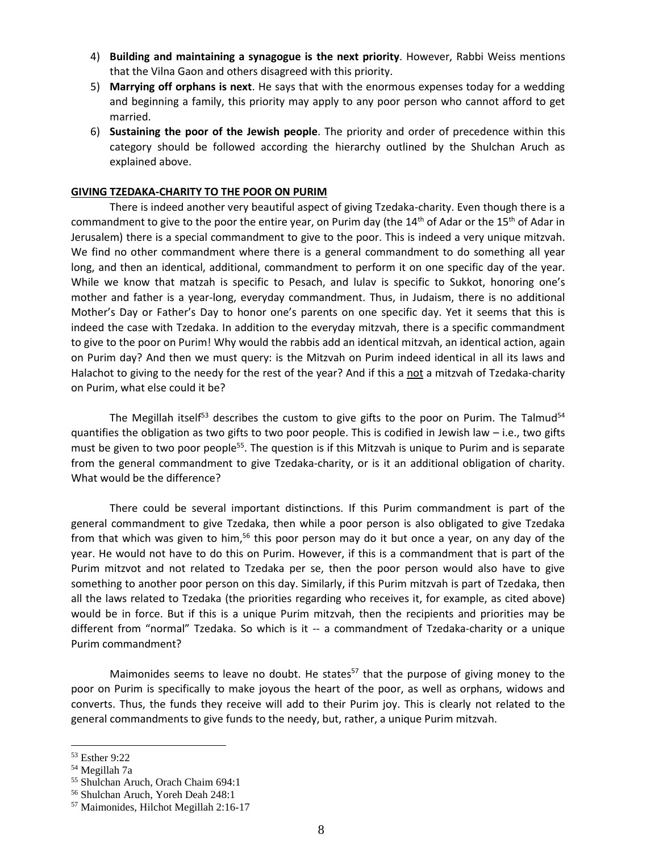- 4) **Building and maintaining a synagogue is the next priority**. However, Rabbi Weiss mentions that the Vilna Gaon and others disagreed with this priority.
- 5) **Marrying off orphans is next**. He says that with the enormous expenses today for a wedding and beginning a family, this priority may apply to any poor person who cannot afford to get married.
- 6) **Sustaining the poor of the Jewish people**. The priority and order of precedence within this category should be followed according the hierarchy outlined by the Shulchan Aruch as explained above.

### **GIVING TZEDAKA-CHARITY TO THE POOR ON PURIM**

There is indeed another very beautiful aspect of giving Tzedaka-charity. Even though there is a commandment to give to the poor the entire year, on Purim day (the 14<sup>th</sup> of Adar or the 15<sup>th</sup> of Adar in Jerusalem) there is a special commandment to give to the poor. This is indeed a very unique mitzvah. We find no other commandment where there is a general commandment to do something all year long, and then an identical, additional, commandment to perform it on one specific day of the year. While we know that matzah is specific to Pesach, and lulav is specific to Sukkot, honoring one's mother and father is a year-long, everyday commandment. Thus, in Judaism, there is no additional Mother's Day or Father's Day to honor one's parents on one specific day. Yet it seems that this is indeed the case with Tzedaka. In addition to the everyday mitzvah, there is a specific commandment to give to the poor on Purim! Why would the rabbis add an identical mitzvah, an identical action, again on Purim day? And then we must query: is the Mitzvah on Purim indeed identical in all its laws and Halachot to giving to the needy for the rest of the year? And if this a not a mitzvah of Tzedaka-charity on Purim, what else could it be?

The Megillah itself<sup>53</sup> describes the custom to give gifts to the poor on Purim. The Talmud<sup>54</sup> quantifies the obligation as two gifts to two poor people. This is codified in Jewish law – i.e., two gifts must be given to two poor people<sup>55</sup>. The question is if this Mitzvah is unique to Purim and is separate from the general commandment to give Tzedaka-charity, or is it an additional obligation of charity. What would be the difference?

There could be several important distinctions. If this Purim commandment is part of the general commandment to give Tzedaka, then while a poor person is also obligated to give Tzedaka from that which was given to him,<sup>56</sup> this poor person may do it but once a year, on any day of the year. He would not have to do this on Purim. However, if this is a commandment that is part of the Purim mitzvot and not related to Tzedaka per se, then the poor person would also have to give something to another poor person on this day. Similarly, if this Purim mitzvah is part of Tzedaka, then all the laws related to Tzedaka (the priorities regarding who receives it, for example, as cited above) would be in force. But if this is a unique Purim mitzvah, then the recipients and priorities may be different from "normal" Tzedaka. So which is it -- a commandment of Tzedaka-charity or a unique Purim commandment?

Maimonides seems to leave no doubt. He states<sup>57</sup> that the purpose of giving money to the poor on Purim is specifically to make joyous the heart of the poor, as well as orphans, widows and converts. Thus, the funds they receive will add to their Purim joy. This is clearly not related to the general commandments to give funds to the needy, but, rather, a unique Purim mitzvah.

<sup>53</sup> Esther 9:22

<sup>54</sup> Megillah 7a

<sup>55</sup> Shulchan Aruch, Orach Chaim 694:1

<sup>56</sup> Shulchan Aruch, Yoreh Deah 248:1

<sup>57</sup> Maimonides, Hilchot Megillah 2:16-17